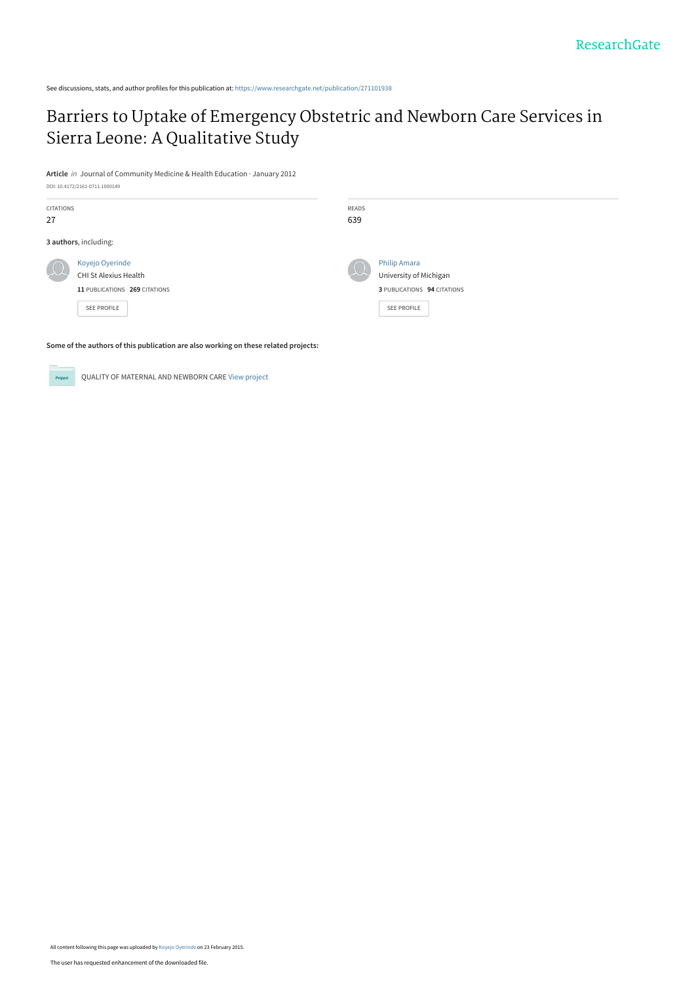See discussions, stats, and author profiles for this publication at: [https://www.researchgate.net/publication/271101938](https://www.researchgate.net/publication/271101938_Barriers_to_Uptake_of_Emergency_Obstetric_and_Newborn_Care_Services_in_Sierra_Leone_A_Qualitative_Study?enrichId=rgreq-c0dc48a0aa031e1185aefeb56f04dcef-XXX&enrichSource=Y292ZXJQYWdlOzI3MTEwMTkzODtBUzoyMDAwMjg1NTYwNTQ1MjlAMTQyNDcwMTkzMjY4Mw%3D%3D&el=1_x_2&_esc=publicationCoverPdf)

# [Barriers to Uptake of Emergency Obstetric and Newborn Care Services in](https://www.researchgate.net/publication/271101938_Barriers_to_Uptake_of_Emergency_Obstetric_and_Newborn_Care_Services_in_Sierra_Leone_A_Qualitative_Study?enrichId=rgreq-c0dc48a0aa031e1185aefeb56f04dcef-XXX&enrichSource=Y292ZXJQYWdlOzI3MTEwMTkzODtBUzoyMDAwMjg1NTYwNTQ1MjlAMTQyNDcwMTkzMjY4Mw%3D%3D&el=1_x_3&_esc=publicationCoverPdf) Sierra Leone: A Qualitative Study

**Article** in Journal of Community Medicine & Health Education · January 2012 DOI: 10.4172/2161-0711.1000149

| CITATIONS                     | READS                       |
|-------------------------------|-----------------------------|
| 27                            | 639                         |
| 3 authors, including:         |                             |
| Koyejo Oyerinde               | <b>Philip Amara</b>         |
| <b>CHI St Alexius Health</b>  | University of Michigan      |
| 11 PUBLICATIONS 269 CITATIONS | 3 PUBLICATIONS 94 CITATIONS |
| <b>SEE PROFILE</b>            | SEE PROFILE                 |

**Some of the authors of this publication are also working on these related projects:**

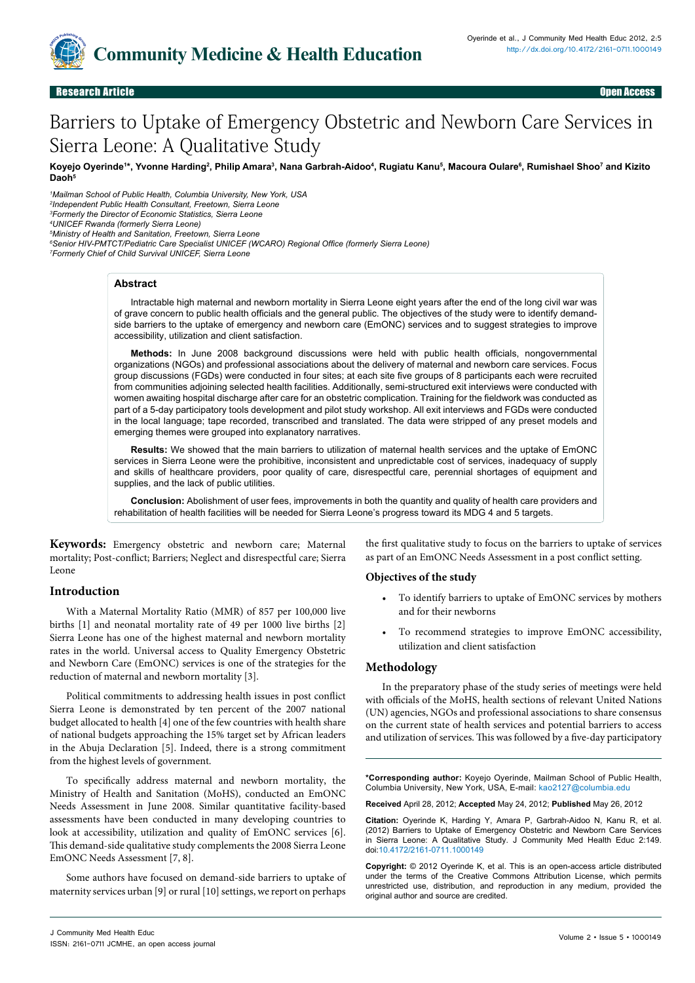

# Barriers to Uptake of Emergency Obstetric and Newborn Care Services in Sierra Leone: A Qualitative Study

Koyejo Oyerinde<sup>1</sup>\*, Yvonne Harding<sup>2</sup>, Philip Amara<sup>3</sup>, Nana Garbrah-Aidoo<sup>4</sup>, Rugiatu Kanu<sup>s</sup>, Macoura Oulare<sup>6</sup>, Rumishael Shoo<sup>7</sup> and Kizito Daoh<sup>5</sup>

 *Mailman School of Public Health, Columbia University, New York, USA Independent Public Health Consultant, Freetown, Sierra Leone Formerly the Director of Economic Statistics, Sierra Leone UNICEF Rwanda (formerly Sierra Leone)*

*5 Ministry of Health and Sanitation, Freetown, Sierra Leone*

*6 Senior HIV-PMTCT/Pediatric Care Specialist UNICEF (WCARO) Regional Office (formerly Sierra Leone)*

*7 Formerly Chief of Child Survival UNICEF, Sierra Leone* 

#### **Abstract**

Intractable high maternal and newborn mortality in Sierra Leone eight years after the end of the long civil war was of grave concern to public health officials and the general public. The objectives of the study were to identify demandside barriers to the uptake of emergency and newborn care (EmONC) services and to suggest strategies to improve accessibility, utilization and client satisfaction.

**Methods:** In June 2008 background discussions were held with public health officials, nongovernmental organizations (NGOs) and professional associations about the delivery of maternal and newborn care services. Focus group discussions (FGDs) were conducted in four sites; at each site five groups of 8 participants each were recruited from communities adjoining selected health facilities. Additionally, semi-structured exit interviews were conducted with women awaiting hospital discharge after care for an obstetric complication. Training for the fieldwork was conducted as part of a 5-day participatory tools development and pilot study workshop. All exit interviews and FGDs were conducted in the local language; tape recorded, transcribed and translated. The data were stripped of any preset models and emerging themes were grouped into explanatory narratives.

**Results:** We showed that the main barriers to utilization of maternal health services and the uptake of EmONC services in Sierra Leone were the prohibitive, inconsistent and unpredictable cost of services, inadequacy of supply and skills of healthcare providers, poor quality of care, disrespectful care, perennial shortages of equipment and supplies, and the lack of public utilities.

**Conclusion:** Abolishment of user fees, improvements in both the quantity and quality of health care providers and rehabilitation of health facilities will be needed for Sierra Leone's progress toward its MDG 4 and 5 targets.

**Keywords:** Emergency obstetric and newborn care; Maternal mortality; Post-conflict; Barriers; Neglect and disrespectful care; Sierra Leone

the first qualitative study to focus on the barriers to uptake of services as part of an EmONC Needs Assessment in a post conflict setting.

#### **Objectives of the study**

**Introduction**

With a Maternal Mortality Ratio (MMR) of 857 per 100,000 live births [1] and neonatal mortality rate of 49 per 1000 live births [2] Sierra Leone has one of the highest maternal and newborn mortality rates in the world. Universal access to Quality Emergency Obstetric and Newborn Care (EmONC) services is one of the strategies for the reduction of maternal and newborn mortality [3].

Political commitments to addressing health issues in post conflict Sierra Leone is demonstrated by ten percent of the 2007 national budget allocated to health [4] one of the few countries with health share of national budgets approaching the 15% target set by African leaders in the Abuja Declaration [5]. Indeed, there is a strong commitment from the highest levels of government.

To specifically address maternal and newborn mortality, the Ministry of Health and Sanitation (MoHS), conducted an EmONC Needs Assessment in June 2008. Similar quantitative facility-based assessments have been conducted in many developing countries to look at accessibility, utilization and quality of EmONC services [6]. This demand-side qualitative study complements the 2008 Sierra Leone EmONC Needs Assessment [7, 8].

Some authors have focused on demand-side barriers to uptake of maternity services urban [9] or rural [10] settings, we report on perhaps

• To identify barriers to uptake of EmONC services by mothers and for their newborns

To recommend strategies to improve EmONC accessibility, utilization and client satisfaction

#### **Methodology**

In the preparatory phase of the study series of meetings were held with officials of the MoHS, health sections of relevant United Nations (UN) agencies, NGOs and professional associations to share consensus on the current state of health services and potential barriers to access and utilization of services. This was followed by a five-day participatory

**\*Corresponding author:** Koyejo Oyerinde, Mailman School of Public Health, Columbia University, New York, USA, E-mail: kao2127@columbia.edu

**Received** April 28, 2012; **Accepted** May 24, 2012; **Published** May 26, 2012

**Citation:** Oyerinde K, Harding Y, Amara P, Garbrah-Aidoo N, Kanu R, et al. (2012) Barriers to Uptake of Emergency Obstetric and Newborn Care Services in Sierra Leone: A Qualitative Study. J Community Med Health Educ 2:149. doi[:10.4172/2161-0711.100014](http://dx.doi.org/10.4172/2161-0711.1000149)9

**Copyright:** © 2012 Oyerinde K, et al. This is an open-access article distributed under the terms of the Creative Commons Attribution License, which permits unrestricted use, distribution, and reproduction in any medium, provided the original author and source are credited.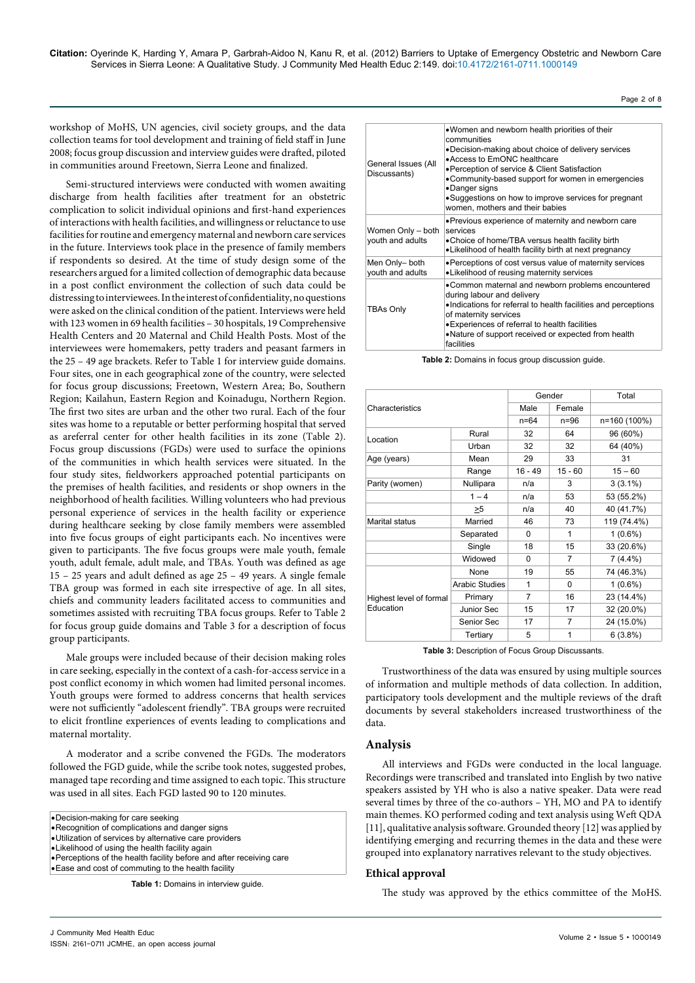workshop of MoHS, UN agencies, civil society groups, and the data collection teams for tool development and training of field staff in June 2008; focus group discussion and interview guides were drafted, piloted in communities around Freetown, Sierra Leone and finalized.

Semi-structured interviews were conducted with women awaiting discharge from health facilities after treatment for an obstetric complication to solicit individual opinions and first-hand experiences of interactions with health facilities, and willingness or reluctance to use facilities for routine and emergency maternal and newborn care services in the future. Interviews took place in the presence of family members if respondents so desired. At the time of study design some of the researchers argued for a limited collection of demographic data because in a post conflict environment the collection of such data could be distressing to interviewees. In the interest of confidentiality, no questions were asked on the clinical condition of the patient. Interviews were held with 123 women in 69 health facilities – 30 hospitals, 19 Comprehensive Health Centers and 20 Maternal and Child Health Posts. Most of the interviewees were homemakers, petty traders and peasant farmers in the 25 – 49 age brackets. Refer to Table 1 for interview guide domains. Four sites, one in each geographical zone of the country, were selected for focus group discussions; Freetown, Western Area; Bo, Southern Region; Kailahun, Eastern Region and Koinadugu, Northern Region. The first two sites are urban and the other two rural. Each of the four sites was home to a reputable or better performing hospital that served as areferral center for other health facilities in its zone (Table 2). Focus group discussions (FGDs) were used to surface the opinions of the communities in which health services were situated. In the four study sites, fieldworkers approached potential participants on the premises of health facilities, and residents or shop owners in the neighborhood of health facilities. Willing volunteers who had previous personal experience of services in the health facility or experience during healthcare seeking by close family members were assembled into five focus groups of eight participants each. No incentives were given to participants. The five focus groups were male youth, female youth, adult female, adult male, and TBAs. Youth was defined as age 15 – 25 years and adult defined as age 25 – 49 years. A single female TBA group was formed in each site irrespective of age. In all sites, chiefs and community leaders facilitated access to communities and sometimes assisted with recruiting TBA focus groups. Refer to Table 2 for focus group guide domains and Table 3 for a description of focus group participants.

Male groups were included because of their decision making roles in care seeking, especially in the context of a cash-for-access service in a post conflict economy in which women had limited personal incomes. Youth groups were formed to address concerns that health services were not sufficiently "adolescent friendly". TBA groups were recruited to elicit frontline experiences of events leading to complications and maternal mortality.

A moderator and a scribe convened the FGDs. The moderators followed the FGD guide, while the scribe took notes, suggested probes, managed tape recording and time assigned to each topic. This structure was used in all sites. Each FGD lasted 90 to 120 minutes.

• Decision-making for care seeking

- • Recognition of complications and danger signs
- • Utilization of services by alternative care providers • Likelihood of using the health facility again

• Ease and cost of commuting to the health facility

**Table 1:** Domains in interview guide.

| General Issues (All<br>Discussants)   | .Women and newborn health priorities of their<br>communities<br>•Decision-making about choice of delivery services<br>• Access to EmONC healthcare<br>• Perception of service & Client Satisfaction<br>•Community-based support for women in emergencies<br>•Danger signs<br>•Suggestions on how to improve services for pregnant<br>women, mothers and their babies |
|---------------------------------------|----------------------------------------------------------------------------------------------------------------------------------------------------------------------------------------------------------------------------------------------------------------------------------------------------------------------------------------------------------------------|
| Women Only - both<br>youth and adults | • Previous experience of maternity and newborn care<br>services<br>• Choice of home/TBA versus health facility birth<br>. Likelihood of health facility birth at next pregnancy                                                                                                                                                                                      |
| Men Only- both<br>youth and adults    | • Perceptions of cost versus value of maternity services<br>•Likelihood of reusing maternity services                                                                                                                                                                                                                                                                |
| TBAs Only                             | • Common maternal and newborn problems encountered<br>during labour and delivery<br>. Indications for referral to health facilities and perceptions<br>of maternity services<br>• Experiences of referral to health facilities<br>• Nature of support received or expected from health<br>facilities                                                                 |

Page 2 of 8

**Table 2:** Domains in focus group discussion guide.

| Characteristics                      |                       | Gender    |           | Total        |
|--------------------------------------|-----------------------|-----------|-----------|--------------|
|                                      |                       | Male      | Female    |              |
|                                      |                       | $n = 64$  | $n=96$    | n=160 (100%) |
| Location                             | Rural                 | 32        | 64        | 96 (60%)     |
|                                      | Urban                 | 32        | 32        | 64 (40%)     |
| Age (years)                          | Mean                  | 29        | 33        | 31           |
|                                      | Range                 | $16 - 49$ | $15 - 60$ | $15 - 60$    |
| Parity (women)                       | Nullipara             | n/a       | 3         | $3(3.1\%)$   |
|                                      | $1 - 4$               | n/a       | 53        | 53 (55.2%)   |
|                                      | >5                    | n/a       | 40        | 40 (41.7%)   |
| <b>Marital status</b>                | Married               | 46        | 73        | 119 (74.4%)  |
|                                      | Separated             | $\Omega$  | 1         | $1(0.6\%)$   |
|                                      | Single                | 18        | 15        | 33 (20.6%)   |
|                                      | Widowed               | $\Omega$  | 7         | $7(4.4\%)$   |
| Highest level of formal<br>Education | None                  | 19        | 55        | 74 (46.3%)   |
|                                      | <b>Arabic Studies</b> | 1         | 0         | $1(0.6\%)$   |
|                                      | Primary               | 7         | 16        | 23 (14.4%)   |
|                                      | Junior Sec            | 15        | 17        | 32 (20.0%)   |
|                                      | Senior Sec            | 17        | 7         | 24 (15.0%)   |
|                                      | Tertiary              | 5         | 1         | 6(3.8%)      |

**Table 3:** Description of Focus Group Discussants.

Trustworthiness of the data was ensured by using multiple sources of information and multiple methods of data collection. In addition, participatory tools development and the multiple reviews of the draft documents by several stakeholders increased trustworthiness of the data.

#### **Analysis**

All interviews and FGDs were conducted in the local language. Recordings were transcribed and translated into English by two native speakers assisted by YH who is also a native speaker. Data were read several times by three of the co-authors – YH, MO and PA to identify main themes. KO performed coding and text analysis using Weft QDA [11], qualitative analysis software. Grounded theory [12] was applied by identifying emerging and recurring themes in the data and these were grouped into explanatory narratives relevant to the study objectives.

#### **Ethical approval**

The study was approved by the ethics committee of the MoHS.

<sup>•</sup> Perceptions of the health facility before and after receiving care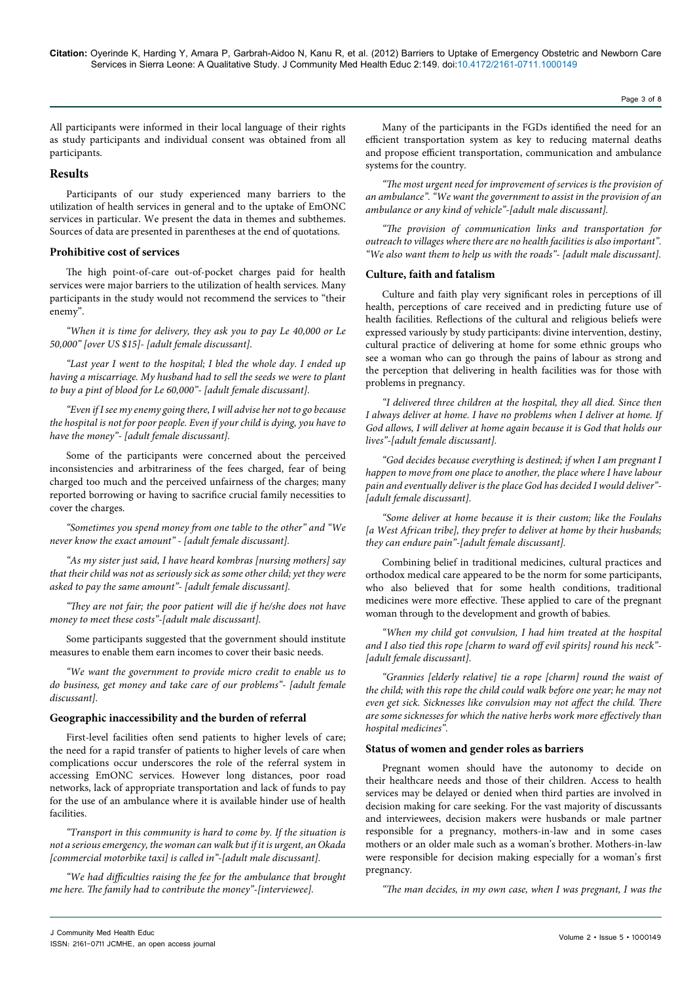Page 3 of 8

All participants were informed in their local language of their rights as study participants and individual consent was obtained from all participants.

# **Results**

Participants of our study experienced many barriers to the utilization of health services in general and to the uptake of EmONC services in particular. We present the data in themes and subthemes. Sources of data are presented in parentheses at the end of quotations.

# **Prohibitive cost of services**

The high point-of-care out-of-pocket charges paid for health services were major barriers to the utilization of health services. Many participants in the study would not recommend the services to "their enemy".

*"When it is time for delivery, they ask you to pay Le 40,000 or Le 50,000" [over US \$15]- [adult female discussant].*

*"Last year I went to the hospital; I bled the whole day. I ended up having a miscarriage. My husband had to sell the seeds we were to plant to buy a pint of blood for Le 60,000"- [adult female discussant].* 

*"Even if I see my enemy going there, I will advise her not to go because the hospital is not for poor people. Even if your child is dying, you have to have the money"- [adult female discussant].* 

Some of the participants were concerned about the perceived inconsistencies and arbitrariness of the fees charged, fear of being charged too much and the perceived unfairness of the charges; many reported borrowing or having to sacrifice crucial family necessities to cover the charges.

*"Sometimes you spend money from one table to the other" and "We never know the exact amount" - [adult female discussant].*

*"As my sister just said, I have heard kombras [nursing mothers] say that their child was not as seriously sick as some other child; yet they were asked to pay the same amount"- [adult female discussant].* 

*"They are not fair; the poor patient will die if he/she does not have money to meet these costs"-[adult male discussant].*

Some participants suggested that the government should institute measures to enable them earn incomes to cover their basic needs.

*"We want the government to provide micro credit to enable us to do business, get money and take care of our problems"- [adult female discussant].*

# **Geographic inaccessibility and the burden of referral**

First-level facilities often send patients to higher levels of care; the need for a rapid transfer of patients to higher levels of care when complications occur underscores the role of the referral system in accessing EmONC services. However long distances, poor road networks, lack of appropriate transportation and lack of funds to pay for the use of an ambulance where it is available hinder use of health facilities.

*"Transport in this community is hard to come by. If the situation is not a serious emergency, the woman can walk but if it is urgent, an Okada [commercial motorbike taxi] is called in"-[adult male discussant].*

*"We had difficulties raising the fee for the ambulance that brought me here. The family had to contribute the money"-[interviewee].*

Many of the participants in the FGDs identified the need for an efficient transportation system as key to reducing maternal deaths and propose efficient transportation, communication and ambulance systems for the country.

*"The most urgent need for improvement of services is the provision of an ambulance". "We want the government to assist in the provision of an ambulance or any kind of vehicle"-[adult male discussant].*

*"The provision of communication links and transportation for outreach to villages where there are no health facilities is also important". "We also want them to help us with the roads"- [adult male discussant].*

# **Culture, faith and fatalism**

Culture and faith play very significant roles in perceptions of ill health, perceptions of care received and in predicting future use of health facilities. Reflections of the cultural and religious beliefs were expressed variously by study participants: divine intervention, destiny, cultural practice of delivering at home for some ethnic groups who see a woman who can go through the pains of labour as strong and the perception that delivering in health facilities was for those with problems in pregnancy.

*"I delivered three children at the hospital, they all died. Since then I always deliver at home. I have no problems when I deliver at home. If God allows, I will deliver at home again because it is God that holds our lives"-[adult female discussant].*

*"God decides because everything is destined; if when I am pregnant I happen to move from one place to another, the place where I have labour pain and eventually deliver is the place God has decided I would deliver"- [adult female discussant].*

*"Some deliver at home because it is their custom; like the Foulahs [a West African tribe], they prefer to deliver at home by their husbands; they can endure pain"-[adult female discussant].*

Combining belief in traditional medicines, cultural practices and orthodox medical care appeared to be the norm for some participants, who also believed that for some health conditions, traditional medicines were more effective. These applied to care of the pregnant woman through to the development and growth of babies.

*"When my child got convulsion, I had him treated at the hospital and I also tied this rope [charm to ward off evil spirits] round his neck"- [adult female discussant].*

*"Grannies [elderly relative] tie a rope [charm] round the waist of the child; with this rope the child could walk before one year; he may not even get sick. Sicknesses like convulsion may not affect the child. There are some sicknesses for which the native herbs work more effectively than hospital medicines".*

# **Status of women and gender roles as barriers**

Pregnant women should have the autonomy to decide on their healthcare needs and those of their children. Access to health services may be delayed or denied when third parties are involved in decision making for care seeking. For the vast majority of discussants and interviewees, decision makers were husbands or male partner responsible for a pregnancy, mothers-in-law and in some cases mothers or an older male such as a woman's brother. Mothers-in-law were responsible for decision making especially for a woman's first pregnancy.

*"The man decides, in my own case, when I was pregnant, I was the*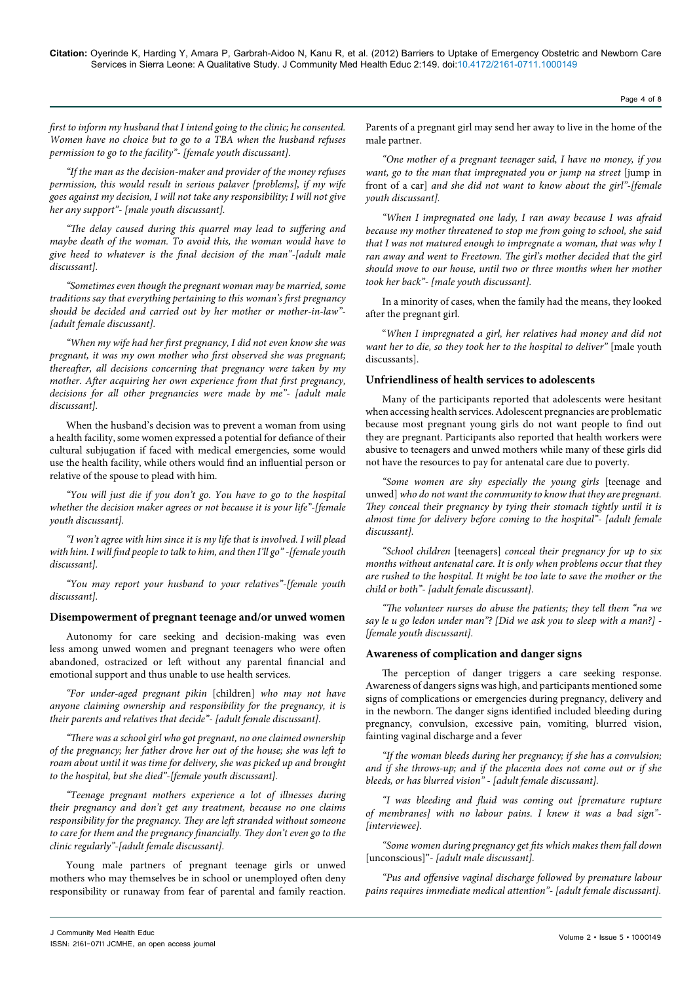Page 4 of 8

*first to inform my husband that I intend going to the clinic; he consented. Women have no choice but to go to a TBA when the husband refuses permission to go to the facility"- [female youth discussant].*

*"If the man as the decision-maker and provider of the money refuses permission, this would result in serious palaver [problems], if my wife goes against my decision, I will not take any responsibility; I will not give her any support"- [male youth discussant].*

*"The delay caused during this quarrel may lead to suffering and maybe death of the woman. To avoid this, the woman would have to give heed to whatever is the final decision of the man"-[adult male discussant].*

*"Sometimes even though the pregnant woman may be married, some traditions say that everything pertaining to this woman's first pregnancy should be decided and carried out by her mother or mother-in-law"- [adult female discussant].*

*"When my wife had her first pregnancy, I did not even know she was pregnant, it was my own mother who first observed she was pregnant; thereafter, all decisions concerning that pregnancy were taken by my mother. After acquiring her own experience from that first pregnancy, decisions for all other pregnancies were made by me"- [adult male discussant].*

When the husband's decision was to prevent a woman from using a health facility, some women expressed a potential for defiance of their cultural subjugation if faced with medical emergencies, some would use the health facility, while others would find an influential person or relative of the spouse to plead with him.

*"You will just die if you don't go. You have to go to the hospital whether the decision maker agrees or not because it is your life"-[female youth discussant].*

*"I won't agree with him since it is my life that is involved. I will plead with him. I will find people to talk to him, and then I'll go" -[female youth discussant].*

*"You may report your husband to your relatives"-[female youth discussant].*

#### **Disempowerment of pregnant teenage and/or unwed women**

Autonomy for care seeking and decision-making was even less among unwed women and pregnant teenagers who were often abandoned, ostracized or left without any parental financial and emotional support and thus unable to use health services.

*"For under-aged pregnant pikin* [children] *who may not have anyone claiming ownership and responsibility for the pregnancy, it is their parents and relatives that decide"- [adult female discussant].*

*"There was a school girl who got pregnant, no one claimed ownership of the pregnancy; her father drove her out of the house; she was left to roam about until it was time for delivery, she was picked up and brought to the hospital, but she died"-[female youth discussant].*

*"Teenage pregnant mothers experience a lot of illnesses during their pregnancy and don't get any treatment, because no one claims responsibility for the pregnancy. They are left stranded without someone to care for them and the pregnancy financially. They don't even go to the clinic regularly"-[adult female discussant].*

Young male partners of pregnant teenage girls or unwed mothers who may themselves be in school or unemployed often deny responsibility or runaway from fear of parental and family reaction.

Parents of a pregnant girl may send her away to live in the home of the male partner.

*"One mother of a pregnant teenager said, I have no money, if you*  want, go to the man that impregnated you or jump na street [jump in front of a car] *and she did not want to know about the girl"-[female youth discussant].*

*"When I impregnated one lady, I ran away because I was afraid because my mother threatened to stop me from going to school, she said that I was not matured enough to impregnate a woman, that was why I ran away and went to Freetown. The girl's mother decided that the girl should move to our house, until two or three months when her mother took her back"- [male youth discussant].*

In a minority of cases, when the family had the means, they looked after the pregnant girl.

"*When I impregnated a girl, her relatives had money and did not want her to die, so they took her to the hospital to deliver"* [male youth discussants].

# **Unfriendliness of health services to adolescents**

Many of the participants reported that adolescents were hesitant when accessing health services. Adolescent pregnancies are problematic because most pregnant young girls do not want people to find out they are pregnant. Participants also reported that health workers were abusive to teenagers and unwed mothers while many of these girls did not have the resources to pay for antenatal care due to poverty.

*"Some women are shy especially the young girls* [teenage and unwed] *who do not want the community to know that they are pregnant. They conceal their pregnancy by tying their stomach tightly until it is almost time for delivery before coming to the hospital"- [adult female discussant].*

*"School children* [teenagers] *conceal their pregnancy for up to six months without antenatal care. It is only when problems occur that they are rushed to the hospital. It might be too late to save the mother or the child or both"- [adult female discussant].*

*"The volunteer nurses do abuse the patients; they tell them "na we say le u go ledon under man"? [Did we ask you to sleep with a man?] - [female youth discussant].*

#### **Awareness of complication and danger signs**

The perception of danger triggers a care seeking response. Awareness of dangers signs was high, and participants mentioned some signs of complications or emergencies during pregnancy, delivery and in the newborn. The danger signs identified included bleeding during pregnancy, convulsion, excessive pain, vomiting, blurred vision, fainting vaginal discharge and a fever

*"If the woman bleeds during her pregnancy; if she has a convulsion; and if she throws-up; and if the placenta does not come out or if she bleeds, or has blurred vision" - [adult female discussant].*

*"I was bleeding and fluid was coming out [premature rupture of membranes] with no labour pains. I knew it was a bad sign"- [interviewee].*

*"Some women during pregnancy get fits which makes them fall down*  [unconscious]"*- [adult male discussant].*

*"Pus and offensive vaginal discharge followed by premature labour pains requires immediate medical attention"- [adult female discussant].*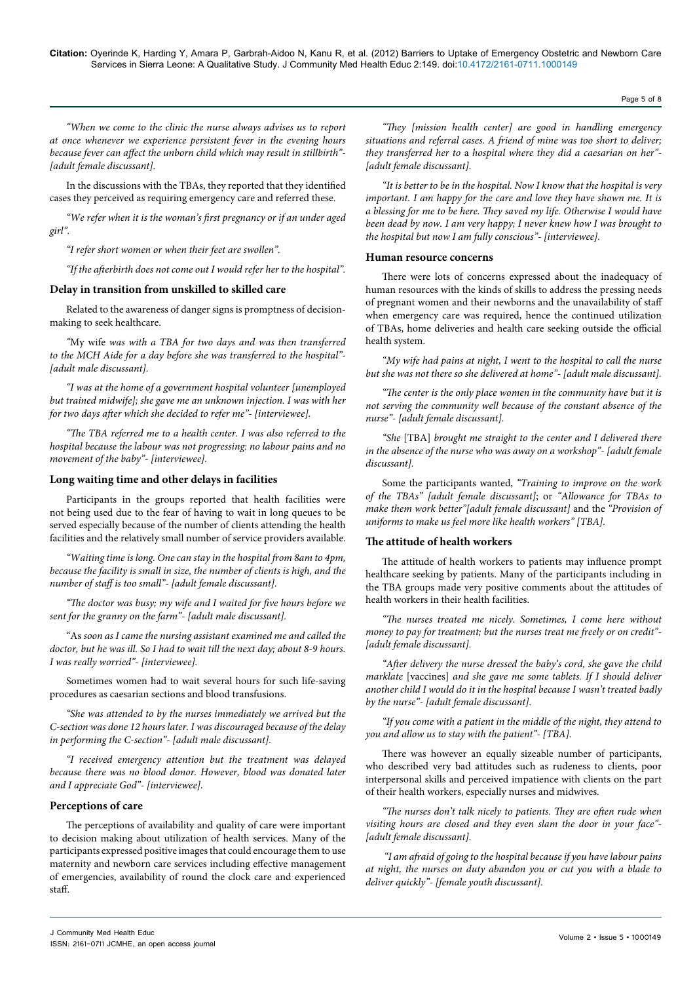Page 5 of 8

*"When we come to the clinic the nurse always advises us to report at once whenever we experience persistent fever in the evening hours because fever can affect the unborn child which may result in stillbirth"- [adult female discussant].*

In the discussions with the TBAs, they reported that they identified cases they perceived as requiring emergency care and referred these.

*"We refer when it is the woman's first pregnancy or if an under aged girl".* 

*"I refer short women or when their feet are swollen".*

*"If the afterbirth does not come out I would refer her to the hospital".*

# **Delay in transition from unskilled to skilled care**

Related to the awareness of danger signs is promptness of decisionmaking to seek healthcare.

*"*My wife *was with a TBA for two days and was then transferred to the MCH Aide for a day before she was transferred to the hospital"- [adult male discussant].*

*"I was at the home of a government hospital volunteer [unemployed but trained midwife]; she gave me an unknown injection. I was with her for two days after which she decided to refer me"- [interviewee].*

*"The TBA referred me to a health center. I was also referred to the hospital because the labour was not progressing: no labour pains and no movement of the baby"- [interviewee].*

### **Long waiting time and other delays in facilities**

Participants in the groups reported that health facilities were not being used due to the fear of having to wait in long queues to be served especially because of the number of clients attending the health facilities and the relatively small number of service providers available.

*"Waiting time is long. One can stay in the hospital from 8am to 4pm, because the facility is small in size, the number of clients is high, and the number of staff is too small"- [adult female discussant].*

*"The doctor was busy; my wife and I waited for five hours before we sent for the granny on the farm"- [adult male discussant].*

"As *soon as I came the nursing assistant examined me and called the doctor, but he was ill. So I had to wait till the next day; about 8-9 hours. I was really worried"- [interviewee].*

Sometimes women had to wait several hours for such life-saving procedures as caesarian sections and blood transfusions.

*"She was attended to by the nurses immediately we arrived but the C-section was done 12 hours later. I was discouraged because of the delay in performing the C-section"- [adult male discussant].*

*"I received emergency attention but the treatment was delayed because there was no blood donor. However, blood was donated later and I appreciate God"- [interviewee].*

# **Perceptions of care**

The perceptions of availability and quality of care were important to decision making about utilization of health services. Many of the participants expressed positive images that could encourage them to use maternity and newborn care services including effective management of emergencies, availability of round the clock care and experienced staff.

*"They [mission health center] are good in handling emergency situations and referral cases. A friend of mine was too short to deliver; they transferred her to* a *hospital where they did a caesarian on her"- [adult female discussant].* 

*"It is better to be in the hospital. Now I know that the hospital is very important. I am happy for the care and love they have shown me. It is a blessing for me to be here. They saved my life. Otherwise I would have been dead by now. I am very happy; I never knew how I was brought to the hospital but now I am fully conscious"- [interviewee].*

### **Human resource concerns**

There were lots of concerns expressed about the inadequacy of human resources with the kinds of skills to address the pressing needs of pregnant women and their newborns and the unavailability of staff when emergency care was required, hence the continued utilization of TBAs, home deliveries and health care seeking outside the official health system.

*"My wife had pains at night, I went to the hospital to call the nurse but she was not there so she delivered at home"- [adult male discussant].*

*"The center is the only place women in the community have but it is not serving the community well because of the constant absence of the nurse"- [adult female discussant].* 

*"She* [TBA] *brought me straight to the center and I delivered there in the absence of the nurse who was away on a workshop"- [adult female discussant].*

Some the participants wanted, *"Training to improve on the work of the TBAs" [adult female discussant]*; or *"Allowance for TBAs to make them work better"[adult female discussant]* and the *"Provision of uniforms to make us feel more like health workers" [TBA].*

# **The attitude of health workers**

The attitude of health workers to patients may influence prompt healthcare seeking by patients. Many of the participants including in the TBA groups made very positive comments about the attitudes of health workers in their health facilities.

*"The nurses treated me nicely. Sometimes, I come here without money to pay for treatment; but the nurses treat me freely or on credit"- [adult female discussant].*

*"After delivery the nurse dressed the baby's cord, she gave the child marklate* [vaccines] *and she gave me some tablets. If I should deliver another child I would do it in the hospital because I wasn't treated badly by the nurse"- [adult female discussant].*

*"If you come with a patient in the middle of the night, they attend to you and allow us to stay with the patient"- [TBA].* 

There was however an equally sizeable number of participants, who described very bad attitudes such as rudeness to clients, poor interpersonal skills and perceived impatience with clients on the part of their health workers, especially nurses and midwives.

*"The nurses don't talk nicely to patients. They are often rude when visiting hours are closed and they even slam the door in your face"- [adult female discussant].* 

 *"I am afraid of going to the hospital because if you have labour pains at night, the nurses on duty abandon you or cut you with a blade to deliver quickly"- [female youth discussant].*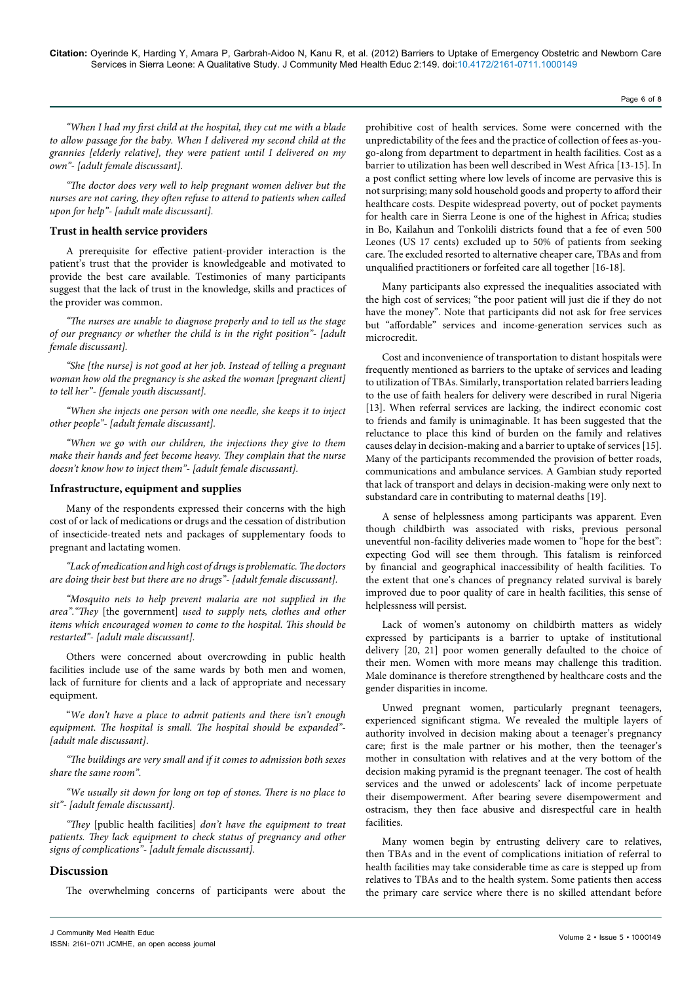Page 6 of 8

*"When I had my first child at the hospital, they cut me with a blade to allow passage for the baby. When I delivered my second child at the grannies [elderly relative], they were patient until I delivered on my own"- [adult female discussant].*

*"The doctor does very well to help pregnant women deliver but the nurses are not caring, they often refuse to attend to patients when called upon for help"- [adult male discussant].*

### **Trust in health service providers**

A prerequisite for effective patient-provider interaction is the patient's trust that the provider is knowledgeable and motivated to provide the best care available. Testimonies of many participants suggest that the lack of trust in the knowledge, skills and practices of the provider was common.

*"The nurses are unable to diagnose properly and to tell us the stage of our pregnancy or whether the child is in the right position"- [adult female discussant].* 

*"She [the nurse] is not good at her job. Instead of telling a pregnant woman how old the pregnancy is she asked the woman [pregnant client] to tell her"- [female youth discussant].* 

*"When she injects one person with one needle, she keeps it to inject other people"- [adult female discussant].*

*"When we go with our children, the injections they give to them make their hands and feet become heavy. They complain that the nurse doesn't know how to inject them"- [adult female discussant].*

#### **Infrastructure, equipment and supplies**

Many of the respondents expressed their concerns with the high cost of or lack of medications or drugs and the cessation of distribution of insecticide-treated nets and packages of supplementary foods to pregnant and lactating women.

*"Lack of medication and high cost of drugs is problematic. The doctors are doing their best but there are no drugs"- [adult female discussant].* 

*"Mosquito nets to help prevent malaria are not supplied in the area"."They* [the government] *used to supply nets, clothes and other items which encouraged women to come to the hospital. This should be restarted"- [adult male discussant].* 

Others were concerned about overcrowding in public health facilities include use of the same wards by both men and women, lack of furniture for clients and a lack of appropriate and necessary equipment.

"*We don't have a place to admit patients and there isn't enough equipment. The hospital is small. The hospital should be expanded"- [adult male discussant]*.

*"The buildings are very small and if it comes to admission both sexes share the same room".*

*"We usually sit down for long on top of stones. There is no place to sit"- [adult female discussant].*

*"They* [public health facilities] *don't have the equipment to treat patients. They lack equipment to check status of pregnancy and other signs of complications"- [adult female discussant].* 

# **Discussion**

The overwhelming concerns of participants were about the

prohibitive cost of health services. Some were concerned with the unpredictability of the fees and the practice of collection of fees as-yougo-along from department to department in health facilities. Cost as a barrier to utilization has been well described in West Africa [13-15]. In a post conflict setting where low levels of income are pervasive this is not surprising; many sold household goods and property to afford their healthcare costs. Despite widespread poverty, out of pocket payments for health care in Sierra Leone is one of the highest in Africa; studies in Bo, Kailahun and Tonkolili districts found that a fee of even 500 Leones (US 17 cents) excluded up to 50% of patients from seeking care. The excluded resorted to alternative cheaper care, TBAs and from unqualified practitioners or forfeited care all together [16-18].

Many participants also expressed the inequalities associated with the high cost of services; "the poor patient will just die if they do not have the money". Note that participants did not ask for free services but "affordable" services and income-generation services such as microcredit.

Cost and inconvenience of transportation to distant hospitals were frequently mentioned as barriers to the uptake of services and leading to utilization of TBAs. Similarly, transportation related barriers leading to the use of faith healers for delivery were described in rural Nigeria [13]. When referral services are lacking, the indirect economic cost to friends and family is unimaginable. It has been suggested that the reluctance to place this kind of burden on the family and relatives causes delay in decision-making and a barrier to uptake of services [15]. Many of the participants recommended the provision of better roads, communications and ambulance services. A Gambian study reported that lack of transport and delays in decision-making were only next to substandard care in contributing to maternal deaths [19].

A sense of helplessness among participants was apparent. Even though childbirth was associated with risks, previous personal uneventful non-facility deliveries made women to "hope for the best": expecting God will see them through. This fatalism is reinforced by financial and geographical inaccessibility of health facilities. To the extent that one's chances of pregnancy related survival is barely improved due to poor quality of care in health facilities, this sense of helplessness will persist.

Lack of women's autonomy on childbirth matters as widely expressed by participants is a barrier to uptake of institutional delivery [20, 21] poor women generally defaulted to the choice of their men. Women with more means may challenge this tradition. Male dominance is therefore strengthened by healthcare costs and the gender disparities in income.

Unwed pregnant women, particularly pregnant teenagers, experienced significant stigma. We revealed the multiple layers of authority involved in decision making about a teenager's pregnancy care; first is the male partner or his mother, then the teenager's mother in consultation with relatives and at the very bottom of the decision making pyramid is the pregnant teenager. The cost of health services and the unwed or adolescents' lack of income perpetuate their disempowerment. After bearing severe disempowerment and ostracism, they then face abusive and disrespectful care in health facilities.

Many women begin by entrusting delivery care to relatives, then TBAs and in the event of complications initiation of referral to health facilities may take considerable time as care is stepped up from relatives to TBAs and to the health system. Some patients then access the primary care service where there is no skilled attendant before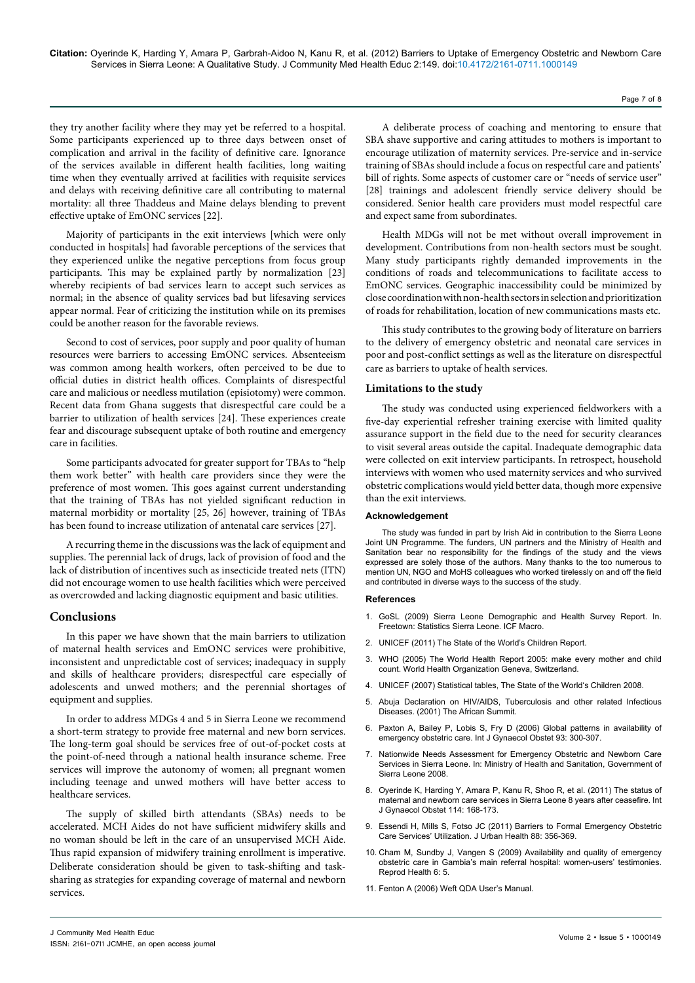they try another facility where they may yet be referred to a hospital. Some participants experienced up to three days between onset of complication and arrival in the facility of definitive care. Ignorance of the services available in different health facilities, long waiting time when they eventually arrived at facilities with requisite services and delays with receiving definitive care all contributing to maternal mortality: all three Thaddeus and Maine delays blending to prevent effective uptake of EmONC services [22].

Majority of participants in the exit interviews [which were only conducted in hospitals] had favorable perceptions of the services that they experienced unlike the negative perceptions from focus group participants. This may be explained partly by normalization [23] whereby recipients of bad services learn to accept such services as normal; in the absence of quality services bad but lifesaving services appear normal. Fear of criticizing the institution while on its premises could be another reason for the favorable reviews.

Second to cost of services, poor supply and poor quality of human resources were barriers to accessing EmONC services. Absenteeism was common among health workers, often perceived to be due to official duties in district health offices. Complaints of disrespectful care and malicious or needless mutilation (episiotomy) were common. Recent data from Ghana suggests that disrespectful care could be a barrier to utilization of health services [24]. These experiences create fear and discourage subsequent uptake of both routine and emergency care in facilities.

Some participants advocated for greater support for TBAs to "help them work better" with health care providers since they were the preference of most women. This goes against current understanding that the training of TBAs has not yielded significant reduction in maternal morbidity or mortality [25, 26] however, training of TBAs has been found to increase utilization of antenatal care services [27].

A recurring theme in the discussions was the lack of equipment and supplies. The perennial lack of drugs, lack of provision of food and the lack of distribution of incentives such as insecticide treated nets (ITN) did not encourage women to use health facilities which were perceived as overcrowded and lacking diagnostic equipment and basic utilities.

# **Conclusions**

In this paper we have shown that the main barriers to utilization of maternal health services and EmONC services were prohibitive, inconsistent and unpredictable cost of services; inadequacy in supply and skills of healthcare providers; disrespectful care especially of adolescents and unwed mothers; and the perennial shortages of equipment and supplies.

In order to address MDGs 4 and 5 in Sierra Leone we recommend a short-term strategy to provide free maternal and new born services. The long-term goal should be services free of out-of-pocket costs at the point-of-need through a national health insurance scheme. Free services will improve the autonomy of women; all pregnant women including teenage and unwed mothers will have better access to healthcare services.

The supply of skilled birth attendants (SBAs) needs to be accelerated. MCH Aides do not have sufficient midwifery skills and no woman should be left in the care of an unsupervised MCH Aide. Thus rapid expansion of midwifery training enrollment is imperative. Deliberate consideration should be given to task-shifting and tasksharing as strategies for expanding coverage of maternal and newborn services.

A deliberate process of coaching and mentoring to ensure that SBA shave supportive and caring attitudes to mothers is important to encourage utilization of maternity services. Pre-service and in-service training of SBAs should include a focus on respectful care and patients' bill of rights. Some aspects of customer care or "needs of service user" [28] trainings and adolescent friendly service delivery should be considered. Senior health care providers must model respectful care and expect same from subordinates.

Page 7 of 8

Health MDGs will not be met without overall improvement in development. Contributions from non-health sectors must be sought. Many study participants rightly demanded improvements in the conditions of roads and telecommunications to facilitate access to EmONC services. Geographic inaccessibility could be minimized by close coordination with non-health sectors in selection and prioritization of roads for rehabilitation, location of new communications masts etc.

This study contributes to the growing body of literature on barriers to the delivery of emergency obstetric and neonatal care services in poor and post-conflict settings as well as the literature on disrespectful care as barriers to uptake of health services.

# **Limitations to the study**

The study was conducted using experienced fieldworkers with a five-day experiential refresher training exercise with limited quality assurance support in the field due to the need for security clearances to visit several areas outside the capital. Inadequate demographic data were collected on exit interview participants. In retrospect, household interviews with women who used maternity services and who survived obstetric complications would yield better data, though more expensive than the exit interviews.

#### **Acknowledgement**

The study was funded in part by Irish Aid in contribution to the Sierra Leone Joint UN Programme. The funders, UN partners and the Ministry of Health and Sanitation bear no responsibility for the findings of the study and the views expressed are solely those of the authors. Many thanks to the too numerous to mention UN, NGO and MoHS colleagues who worked tirelessly on and off the field and contributed in diverse ways to the success of the study.

#### **References**

- 1. GoSL (2009) Sierra Leone Demographic and Health Survey Report. In. Freetown: Statistics Sierra Leone. ICF Macro.
- 2. [UNICEF \(2011\) The State of the World's Children Report.](http://www.unicef.org/devpro/files/SOWC_2011_Main_Report_EN_02242011.pdf)
- 3. [WHO \(2005\) The World Health Report 2005: make every mother and child](http://www.kfshrc.edu.sa/annals/articles/25_6/25-6_516-517.pdf)  [count. World Health Organization Geneva, Switzerland.](http://www.kfshrc.edu.sa/annals/articles/25_6/25-6_516-517.pdf)
- 4. [UNICEF \(2007\) Statistical tables, The State of the World's Children 2008.](http://www.unicef.org/sowc08/docs/sowc08_table_StatisticalTables.pdf)
- 5. [Abuja Declaration on HIV/AIDS, Tuberculosis and other related Infectious](http://www.eldis.org/assets/Docs/19768.html)  [Diseases. \(2001\) The African Summit.](http://www.eldis.org/assets/Docs/19768.html)
- 6. [Paxton A, Bailey P, Lobis S, Fry D \(2006\) Global patterns in availability of](http://www.ncbi.nlm.nih.gov/pubmed/16682039)  [emergency obstetric care. Int J Gynaecol Obstet 93: 300-307.](http://www.ncbi.nlm.nih.gov/pubmed/16682039)
- 7. Nationwide Needs Assessment for Emergency Obstetric and Newborn Care Services in Sierra Leone. In: Ministry of Health and Sanitation, Government of Sierra Leone 2008.
- 8. [Oyerinde K, Harding Y, Amara P, Kanu R, Shoo R, et al. \(2011\) The status of](http://www.ncbi.nlm.nih.gov/pubmed/21705000)  [maternal and newborn care services in Sierra Leone 8](http://www.ncbi.nlm.nih.gov/pubmed/21705000) years after ceasefire. Int [J Gynaecol Obstet 114: 168-173.](http://www.ncbi.nlm.nih.gov/pubmed/21705000)
- 9. [Essendi H, Mills S, Fotso JC \(2011\) Barriers to Formal Emergency Obstetric](http://www.ncbi.nlm.nih.gov/pubmed/20700769)  [Care Services' Utilization. J Urban Health 88: 356-369.](http://www.ncbi.nlm.nih.gov/pubmed/20700769)
- 10. [Cham M, Sundby J, Vangen S \(2009\) Availability and quality of emergency](http://www.ncbi.nlm.nih.gov/pubmed/19366451)  [obstetric care in Gambia's main referral hospital: women-users' testimonies.](http://www.ncbi.nlm.nih.gov/pubmed/19366451)  [Reprod Health 6: 5.](http://www.ncbi.nlm.nih.gov/pubmed/19366451)
- 11. Fenton A (2006) Weft QDA User's Manual.